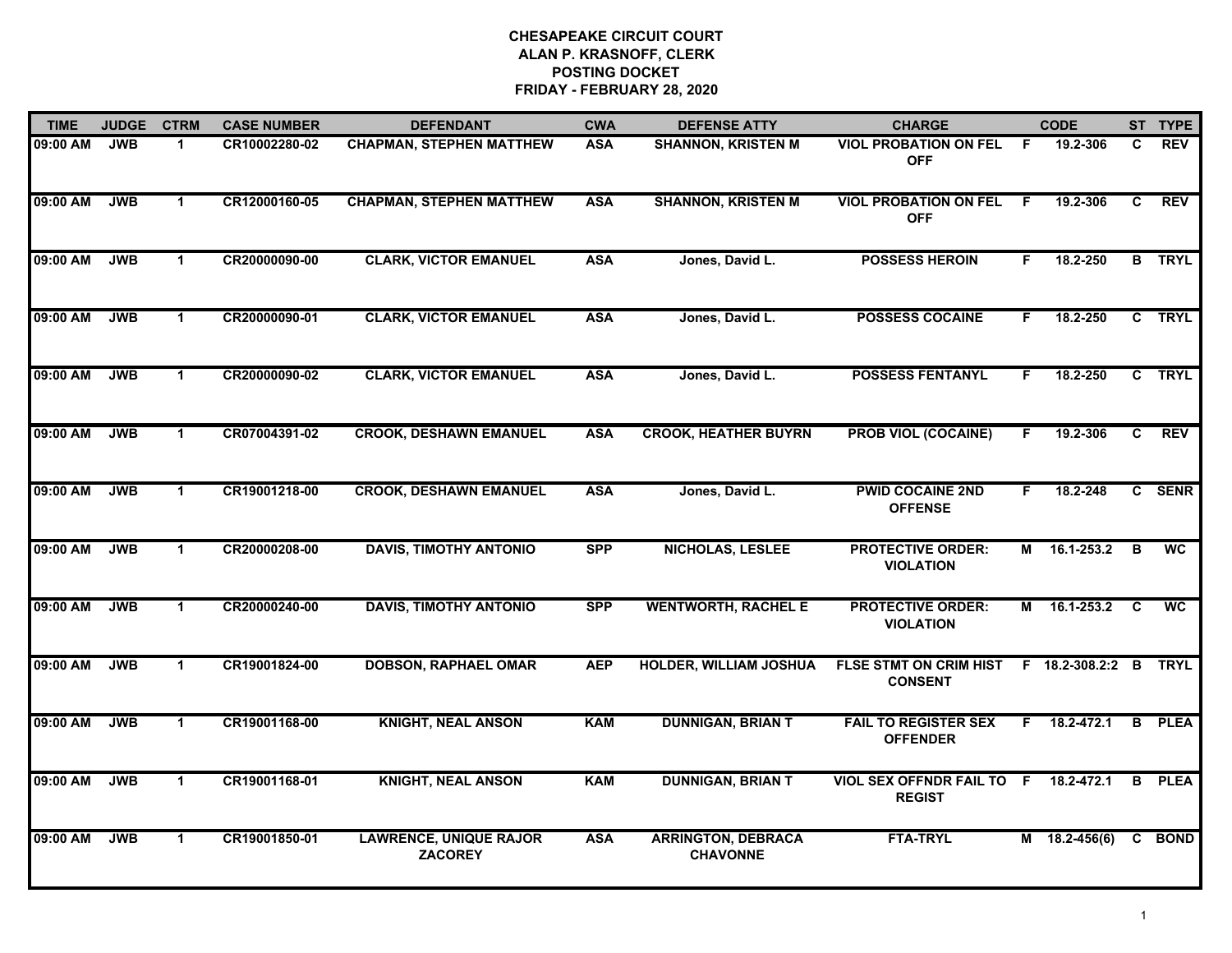| <b>TIME</b> | <b>JUDGE</b> | <b>CTRM</b>          | <b>CASE NUMBER</b> | <b>DEFENDANT</b>                                | <b>CWA</b> | <b>DEFENSE ATTY</b>                          | <b>CHARGE</b>                                     |    | <b>CODE</b>           |                         | ST TYPE       |
|-------------|--------------|----------------------|--------------------|-------------------------------------------------|------------|----------------------------------------------|---------------------------------------------------|----|-----------------------|-------------------------|---------------|
| 09:00 AM    | <b>JWB</b>   | $\blacktriangleleft$ | CR10002280-02      | <b>CHAPMAN, STEPHEN MATTHEW</b>                 | <b>ASA</b> | <b>SHANNON, KRISTEN M</b>                    | <b>VIOL PROBATION ON FEL</b><br><b>OFF</b>        | F  | 19.2-306              | C                       | <b>REV</b>    |
| 09:00 AM    | <b>JWB</b>   | $\blacktriangleleft$ | CR12000160-05      | <b>CHAPMAN, STEPHEN MATTHEW</b>                 | <b>ASA</b> | <b>SHANNON, KRISTEN M</b>                    | <b>VIOL PROBATION ON FEL</b><br><b>OFF</b>        | -F | 19.2-306              | C                       | <b>REV</b>    |
| 09:00 AM    | <b>JWB</b>   | $\mathbf{1}$         | CR20000090-00      | <b>CLARK, VICTOR EMANUEL</b>                    | <b>ASA</b> | Jones, David L.                              | <b>POSSESS HEROIN</b>                             | F. | 18.2-250              |                         | <b>B</b> TRYL |
| 09:00 AM    | <b>JWB</b>   | 1                    | CR20000090-01      | <b>CLARK, VICTOR EMANUEL</b>                    | <b>ASA</b> | Jones, David L.                              | <b>POSSESS COCAINE</b>                            | F. | 18.2-250              |                         | C TRYL        |
| 09:00 AM    | <b>JWB</b>   | $\mathbf 1$          | CR20000090-02      | <b>CLARK, VICTOR EMANUEL</b>                    | <b>ASA</b> | Jones, David L.                              | <b>POSSESS FENTANYL</b>                           | F. | 18.2-250              |                         | C TRYL        |
| 09:00 AM    | <b>JWB</b>   | $\mathbf{1}$         | CR07004391-02      | <b>CROOK, DESHAWN EMANUEL</b>                   | <b>ASA</b> | <b>CROOK, HEATHER BUYRN</b>                  | <b>PROB VIOL (COCAINE)</b>                        | F  | 19.2-306              | C                       | <b>REV</b>    |
| 09:00 AM    | <b>JWB</b>   | $\mathbf{1}$         | CR19001218-00      | <b>CROOK, DESHAWN EMANUEL</b>                   | <b>ASA</b> | Jones, David L.                              | <b>PWID COCAINE 2ND</b><br><b>OFFENSE</b>         | F. | 18.2-248              |                         | C SENR        |
| 09:00 AM    | <b>JWB</b>   | $\blacktriangleleft$ | CR20000208-00      | <b>DAVIS, TIMOTHY ANTONIO</b>                   | <b>SPP</b> | <b>NICHOLAS, LESLEE</b>                      | <b>PROTECTIVE ORDER:</b><br><b>VIOLATION</b>      | M  | 16.1-253.2            | $\overline{\mathbf{B}}$ | <b>WC</b>     |
| 09:00 AM    | <b>JWB</b>   | $\mathbf{1}$         | CR20000240-00      | <b>DAVIS, TIMOTHY ANTONIO</b>                   | <b>SPP</b> | <b>WENTWORTH, RACHEL E</b>                   | <b>PROTECTIVE ORDER:</b><br><b>VIOLATION</b>      |    | M 16.1-253.2          | <b>C</b>                | <b>WC</b>     |
| 09:00 AM    | <b>JWB</b>   | $\mathbf{1}$         | CR19001824-00      | <b>DOBSON, RAPHAEL OMAR</b>                     | <b>AEP</b> | <b>HOLDER, WILLIAM JOSHUA</b>                | FLSE STMT ON CRIM HIST<br><b>CONSENT</b>          |    | F 18.2-308.2:2 B TRYL |                         |               |
| 09:00 AM    | <b>JWB</b>   | $\mathbf{1}$         | CR19001168-00      | <b>KNIGHT, NEAL ANSON</b>                       | <b>KAM</b> | <b>DUNNIGAN, BRIAN T</b>                     | <b>FAIL TO REGISTER SEX</b><br><b>OFFENDER</b>    | F. | 18.2-472.1            |                         | <b>B</b> PLEA |
| 09:00 AM    | <b>JWB</b>   | $\mathbf{1}$         | CR19001168-01      | <b>KNIGHT, NEAL ANSON</b>                       | <b>KAM</b> | <b>DUNNIGAN, BRIAN T</b>                     | <b>VIOL SEX OFFNDR FAIL TO F</b><br><b>REGIST</b> |    | 18.2-472.1            | B                       | <b>PLEA</b>   |
| 09:00 AM    | <b>JWB</b>   | $\blacktriangleleft$ | CR19001850-01      | <b>LAWRENCE, UNIQUE RAJOR</b><br><b>ZACOREY</b> | <b>ASA</b> | <b>ARRINGTON, DEBRACA</b><br><b>CHAVONNE</b> | <b>FTA-TRYL</b>                                   |    | $M$ 18.2-456(6)       |                         | C BOND        |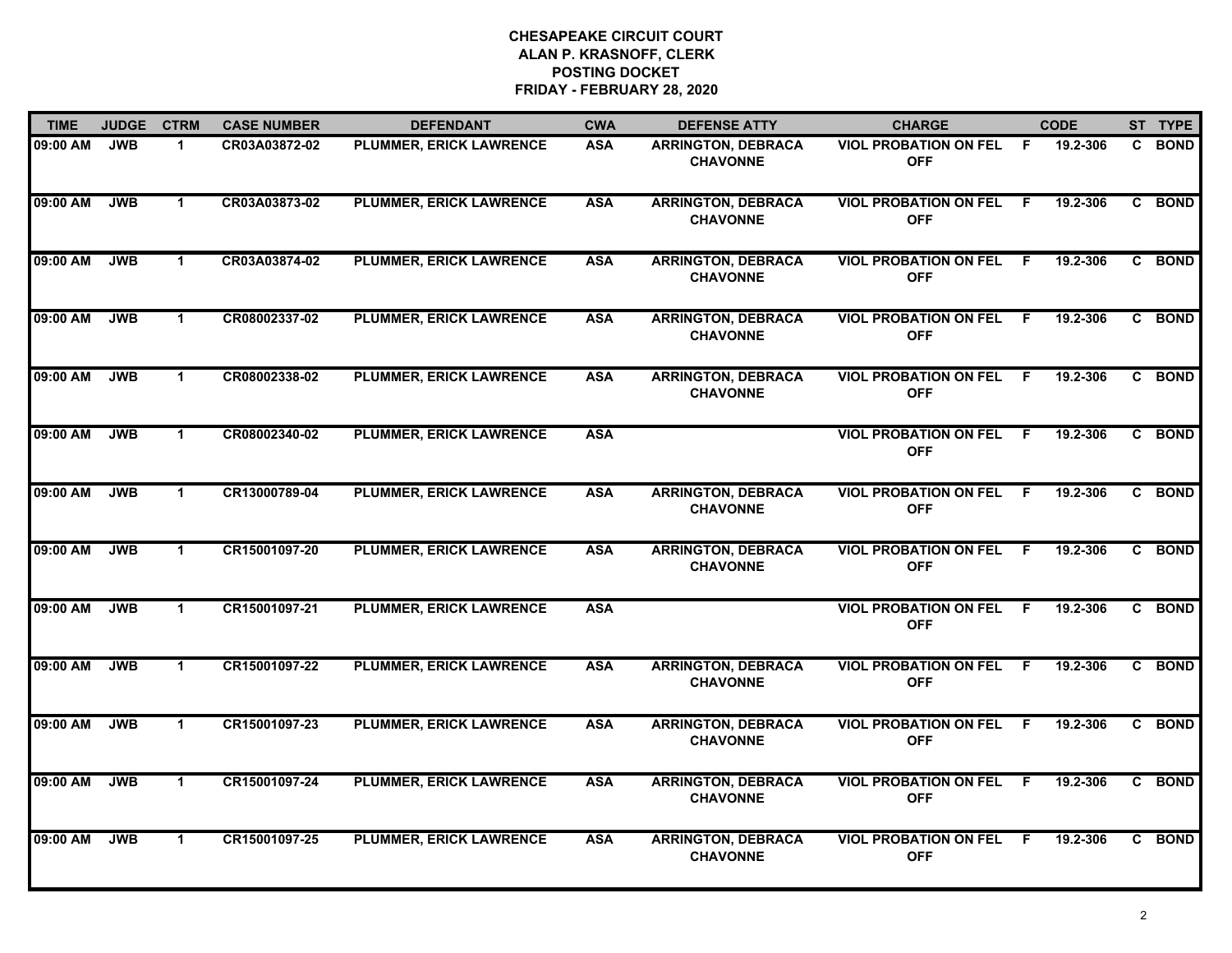| <b>TIME</b> | <b>JUDGE</b> | <b>CTRM</b>          | <b>CASE NUMBER</b> | <b>DEFENDANT</b>               | <b>CWA</b> | <b>DEFENSE ATTY</b>                          | <b>CHARGE</b>                                |              | <b>CODE</b> |              | ST TYPE     |
|-------------|--------------|----------------------|--------------------|--------------------------------|------------|----------------------------------------------|----------------------------------------------|--------------|-------------|--------------|-------------|
| 09:00 AM    | <b>JWB</b>   | $\mathbf{1}$         | CR03A03872-02      | PLUMMER, ERICK LAWRENCE        | <b>ASA</b> | <b>ARRINGTON, DEBRACA</b><br><b>CHAVONNE</b> | <b>VIOL PROBATION ON FEL</b><br><b>OFF</b>   | - F          | 19.2-306    |              | C BOND      |
| 09:00 AM    | <b>JWB</b>   | $\blacktriangleleft$ | CR03A03873-02      | <b>PLUMMER, ERICK LAWRENCE</b> | <b>ASA</b> | <b>ARRINGTON, DEBRACA</b><br><b>CHAVONNE</b> | <b>VIOL PROBATION ON FEL</b><br><b>OFF</b>   | - F          | 19.2-306    | $\mathbf{c}$ | <b>BOND</b> |
| 09:00 AM    | <b>JWB</b>   | $\mathbf{1}$         | CR03A03874-02      | <b>PLUMMER, ERICK LAWRENCE</b> | <b>ASA</b> | <b>ARRINGTON, DEBRACA</b><br><b>CHAVONNE</b> | <b>VIOL PROBATION ON FEL</b><br><b>OFF</b>   | F.           | 19.2-306    |              | C BOND      |
| 09:00 AM    | <b>JWB</b>   | 1                    | CR08002337-02      | <b>PLUMMER, ERICK LAWRENCE</b> | <b>ASA</b> | <b>ARRINGTON, DEBRACA</b><br><b>CHAVONNE</b> | <b>VIOL PROBATION ON FEL</b><br><b>OFF</b>   | -F           | 19.2-306    |              | C BOND      |
| 09:00 AM    | <b>JWB</b>   | $\mathbf{1}$         | CR08002338-02      | PLUMMER, ERICK LAWRENCE        | <b>ASA</b> | <b>ARRINGTON, DEBRACA</b><br><b>CHAVONNE</b> | <b>VIOL PROBATION ON FEL</b><br><b>OFF</b>   | - F          | 19.2-306    |              | C BOND      |
| 09:00 AM    | <b>JWB</b>   | $\blacktriangleleft$ | CR08002340-02      | PLUMMER, ERICK LAWRENCE        | <b>ASA</b> |                                              | <b>VIOL PROBATION ON FEL F</b><br><b>OFF</b> |              | 19.2-306    |              | C BOND      |
| 09:00 AM    | <b>JWB</b>   | $\blacktriangleleft$ | CR13000789-04      | PLUMMER, ERICK LAWRENCE        | <b>ASA</b> | <b>ARRINGTON, DEBRACA</b><br><b>CHAVONNE</b> | <b>VIOL PROBATION ON FEL</b><br><b>OFF</b>   | $\mathsf{F}$ | 19.2-306    | C.           | <b>BOND</b> |
| 09:00 AM    | <b>JWB</b>   | $\mathbf{1}$         | CR15001097-20      | PLUMMER, ERICK LAWRENCE        | <b>ASA</b> | <b>ARRINGTON, DEBRACA</b><br><b>CHAVONNE</b> | <b>VIOL PROBATION ON FEL</b><br><b>OFF</b>   | - F          | 19.2-306    |              | C BOND      |
| 09:00 AM    | <b>JWB</b>   | $\blacktriangleleft$ | CR15001097-21      | <b>PLUMMER, ERICK LAWRENCE</b> | <b>ASA</b> |                                              | <b>VIOL PROBATION ON FEL</b><br><b>OFF</b>   | -F           | 19.2-306    | $\mathbf{c}$ | <b>BOND</b> |
| 09:00 AM    | <b>JWB</b>   | $\mathbf 1$          | CR15001097-22      | <b>PLUMMER, ERICK LAWRENCE</b> | <b>ASA</b> | <b>ARRINGTON, DEBRACA</b><br><b>CHAVONNE</b> | <b>VIOL PROBATION ON FEL</b><br><b>OFF</b>   | -F           | 19.2-306    |              | C BOND      |
| 09:00 AM    | <b>JWB</b>   | $\mathbf{1}$         | CR15001097-23      | PLUMMER, ERICK LAWRENCE        | <b>ASA</b> | <b>ARRINGTON, DEBRACA</b><br><b>CHAVONNE</b> | <b>VIOL PROBATION ON FEL F</b><br><b>OFF</b> |              | 19.2-306    |              | C BOND      |
| 09:00 AM    | <b>JWB</b>   | $\mathbf{1}$         | CR15001097-24      | PLUMMER, ERICK LAWRENCE        | <b>ASA</b> | <b>ARRINGTON, DEBRACA</b><br><b>CHAVONNE</b> | <b>VIOL PROBATION ON FEL</b><br><b>OFF</b>   | - F          | 19.2-306    | C            | <b>BOND</b> |
| 09:00 AM    | <b>JWB</b>   | $\mathbf 1$          | CR15001097-25      | <b>PLUMMER, ERICK LAWRENCE</b> | <b>ASA</b> | <b>ARRINGTON, DEBRACA</b><br><b>CHAVONNE</b> | <b>VIOL PROBATION ON FEL</b><br><b>OFF</b>   | - F          | 19.2-306    |              | C BOND      |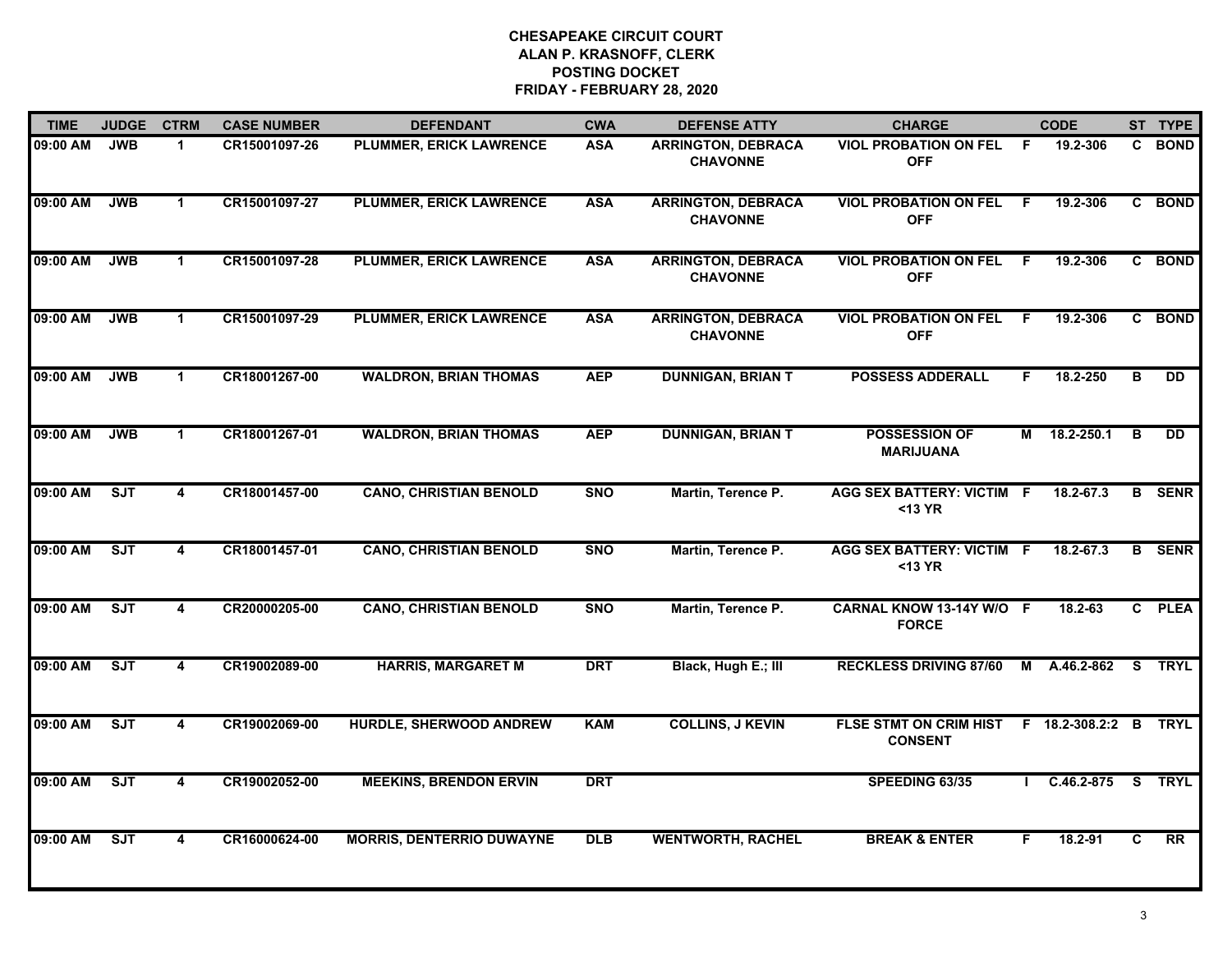| <b>TIME</b> | <b>JUDGE</b> | <b>CTRM</b>             | <b>CASE NUMBER</b> | <b>DEFENDANT</b>                 | <b>CWA</b> | <b>DEFENSE ATTY</b>                          | <b>CHARGE</b>                                                  |     | <b>CODE</b>    |                         | ST TYPE         |
|-------------|--------------|-------------------------|--------------------|----------------------------------|------------|----------------------------------------------|----------------------------------------------------------------|-----|----------------|-------------------------|-----------------|
| 09:00 AM    | <b>JWB</b>   | $\blacktriangleleft$    | CR15001097-26      | PLUMMER, ERICK LAWRENCE          | <b>ASA</b> | <b>ARRINGTON, DEBRACA</b><br><b>CHAVONNE</b> | <b>VIOL PROBATION ON FEL</b><br><b>OFF</b>                     | - F | 19.2-306       |                         | C BOND          |
| 09:00 AM    | <b>JWB</b>   | $\blacktriangleleft$    | CR15001097-27      | <b>PLUMMER, ERICK LAWRENCE</b>   | <b>ASA</b> | <b>ARRINGTON, DEBRACA</b><br><b>CHAVONNE</b> | <b>VIOL PROBATION ON FEL</b><br><b>OFF</b>                     | -F  | 19.2-306       |                         | C BOND          |
| 09:00 AM    | <b>JWB</b>   | $\mathbf{1}$            | CR15001097-28      | <b>PLUMMER, ERICK LAWRENCE</b>   | <b>ASA</b> | <b>ARRINGTON, DEBRACA</b><br><b>CHAVONNE</b> | <b>VIOL PROBATION ON FEL</b><br><b>OFF</b>                     | F.  | 19.2-306       |                         | C BOND          |
| 09:00 AM    | <b>JWB</b>   | $\blacktriangleleft$    | CR15001097-29      | <b>PLUMMER, ERICK LAWRENCE</b>   | <b>ASA</b> | <b>ARRINGTON, DEBRACA</b><br><b>CHAVONNE</b> | <b>VIOL PROBATION ON FEL</b><br><b>OFF</b>                     | F.  | 19.2-306       |                         | C BOND          |
| 09:00 AM    | <b>JWB</b>   | $\blacktriangleleft$    | CR18001267-00      | <b>WALDRON, BRIAN THOMAS</b>     | <b>AEP</b> | <b>DUNNIGAN, BRIAN T</b>                     | <b>POSSESS ADDERALL</b>                                        | F.  | 18.2-250       | B                       | <b>DD</b>       |
| 09:00 AM    | <b>JWB</b>   | $\blacktriangleleft$    | CR18001267-01      | <b>WALDRON, BRIAN THOMAS</b>     | <b>AEP</b> | <b>DUNNIGAN, BRIAN T</b>                     | <b>POSSESSION OF</b><br><b>MARIJUANA</b>                       |     | M 18.2-250.1   | B                       | <b>DD</b>       |
| 09:00 AM    | ST           | $\overline{\mathbf{4}}$ | CR18001457-00      | <b>CANO, CHRISTIAN BENOLD</b>    | <b>SNO</b> | Martin, Terence P.                           | <b>AGG SEX BATTERY: VICTIM F</b><br>$13 YR$                    |     | 18.2-67.3      |                         | <b>B</b> SENR   |
| 09:00 AM    | SJT          | 4                       | CR18001457-01      | <b>CANO, CHRISTIAN BENOLD</b>    | <b>SNO</b> | Martin, Terence P.                           | <b>AGG SEX BATTERY: VICTIM F</b><br>$13 YR$                    |     | 18.2-67.3      |                         | <b>B</b> SENR   |
| 09:00 AM    | ST           | 4                       | CR20000205-00      | <b>CANO, CHRISTIAN BENOLD</b>    | <b>SNO</b> | Martin, Terence P.                           | CARNAL KNOW 13-14Y W/O F<br><b>FORCE</b>                       |     | 18.2-63        |                         | C PLEA          |
| 09:00 AM    | ST           | 4                       | CR19002089-00      | <b>HARRIS, MARGARET M</b>        | <b>DRT</b> | Black, Hugh E.; III                          | <b>RECKLESS DRIVING 87/60</b>                                  | M   | A.46.2-862     | $\overline{\mathbf{s}}$ | <b>TRYL</b>     |
| 09:00 AM    | ST           | $\overline{\mathbf{4}}$ | CR19002069-00      | HURDLE, SHERWOOD ANDREW          | <b>KAM</b> | <b>COLLINS, J KEVIN</b>                      | FLSE STMT ON CRIM HIST F 18.2-308.2:2 B TRYL<br><b>CONSENT</b> |     |                |                         |                 |
| 09:00 AM    | ST           | 4                       | CR19002052-00      | <b>MEEKINS, BRENDON ERVIN</b>    | <b>DRT</b> |                                              | SPEEDING 63/35                                                 |     | $C.46.2-875$ S |                         | <b>TRYL</b>     |
| 09:00 AM    | ST           | 4                       | CR16000624-00      | <b>MORRIS, DENTERRIO DUWAYNE</b> | <b>DLB</b> | <b>WENTWORTH, RACHEL</b>                     | <b>BREAK &amp; ENTER</b>                                       | F   | 18.2-91        | C                       | $\overline{RR}$ |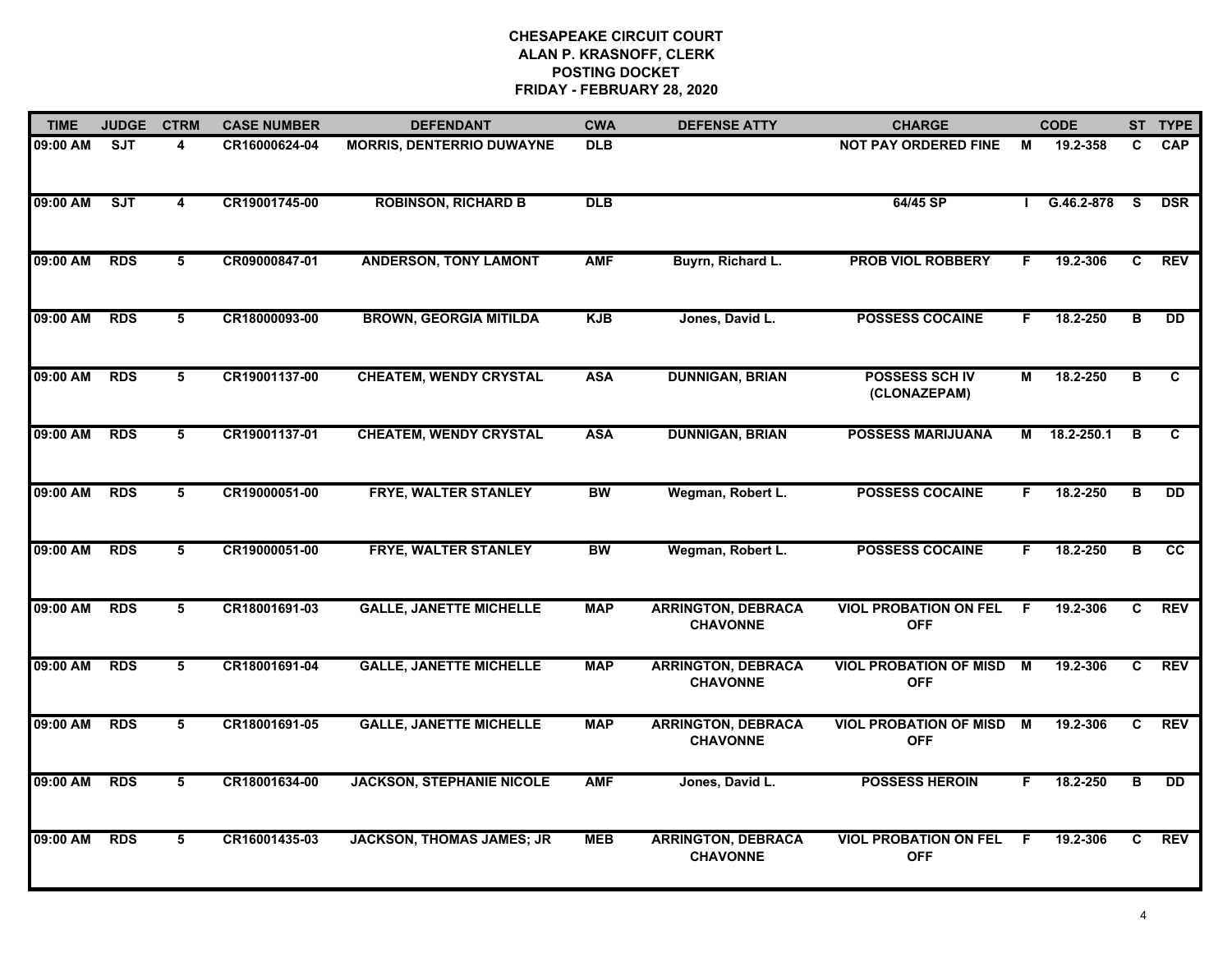| <b>TIME</b> | <b>JUDGE</b> | <b>CTRM</b>             | <b>CASE NUMBER</b> | <b>DEFENDANT</b>                 | <b>CWA</b> | <b>DEFENSE ATTY</b>                          | <b>CHARGE</b>                               |    | <b>CODE</b> |                | ST TYPE         |
|-------------|--------------|-------------------------|--------------------|----------------------------------|------------|----------------------------------------------|---------------------------------------------|----|-------------|----------------|-----------------|
| 09:00 AM    | <b>SJT</b>   | 4                       | CR16000624-04      | <b>MORRIS, DENTERRIO DUWAYNE</b> | <b>DLB</b> |                                              | <b>NOT PAY ORDERED FINE</b>                 | М  | 19.2-358    | C.             | <b>CAP</b>      |
| 09:00 AM    | ST           | $\overline{\mathbf{4}}$ | CR19001745-00      | <b>ROBINSON, RICHARD B</b>       | DLB        |                                              | 64/45 SP                                    |    | G.46.2-878  | <b>S</b>       | <b>DSR</b>      |
| 09:00 AM    | <b>RDS</b>   | 5                       | CR09000847-01      | <b>ANDERSON, TONY LAMONT</b>     | <b>AMF</b> | Buyrn, Richard L.                            | <b>PROB VIOL ROBBERY</b>                    | F. | 19.2-306    | C.             | <b>REV</b>      |
| 09:00 AM    | <b>RDS</b>   | 5                       | CR18000093-00      | <b>BROWN, GEORGIA MITILDA</b>    | <b>KJB</b> | Jones, David L.                              | <b>POSSESS COCAINE</b>                      | F. | 18.2-250    | в              | <b>DD</b>       |
| 09:00 AM    | <b>RDS</b>   | 5                       | CR19001137-00      | <b>CHEATEM, WENDY CRYSTAL</b>    | <b>ASA</b> | <b>DUNNIGAN, BRIAN</b>                       | POSSESS SCH IV<br>(CLONAZEPAM)              | M  | 18.2-250    | в              | C               |
| 09:00 AM    | <b>RDS</b>   | 5                       | CR19001137-01      | <b>CHEATEM, WENDY CRYSTAL</b>    | <b>ASA</b> | <b>DUNNIGAN, BRIAN</b>                       | <b>POSSESS MARIJUANA</b>                    | М  | 18.2-250.1  | в              | C               |
| 09:00 AM    | <b>RDS</b>   | $\overline{5}$          | CR19000051-00      | FRYE, WALTER STANLEY             | <b>BW</b>  | Wegman, Robert L.                            | <b>POSSESS COCAINE</b>                      | F. | 18.2-250    | $\overline{B}$ | $\overline{DD}$ |
| 09:00 AM    | <b>RDS</b>   | 5                       | CR19000051-00      | FRYE, WALTER STANLEY             | <b>BW</b>  | Wegman, Robert L.                            | <b>POSSESS COCAINE</b>                      | F  | 18.2-250    | B              | cc              |
| 09:00 AM    | <b>RDS</b>   | 5                       | CR18001691-03      | <b>GALLE, JANETTE MICHELLE</b>   | <b>MAP</b> | <b>ARRINGTON, DEBRACA</b><br><b>CHAVONNE</b> | <b>VIOL PROBATION ON FEL</b><br><b>OFF</b>  | F. | 19.2-306    | C.             | <b>REV</b>      |
| 09:00 AM    | <b>RDS</b>   | 5                       | CR18001691-04      | <b>GALLE, JANETTE MICHELLE</b>   | <b>MAP</b> | <b>ARRINGTON, DEBRACA</b><br><b>CHAVONNE</b> | <b>VIOL PROBATION OF MISD</b><br><b>OFF</b> | M  | 19.2-306    | $\mathbf{C}$   | <b>REV</b>      |
| 09:00 AM    | <b>RDS</b>   | 5                       | CR18001691-05      | <b>GALLE, JANETTE MICHELLE</b>   | <b>MAP</b> | <b>ARRINGTON, DEBRACA</b><br><b>CHAVONNE</b> | <b>VIOL PROBATION OF MISD</b><br><b>OFF</b> | M  | 19.2-306    | C.             | <b>REV</b>      |
| 09:00 AM    | <b>RDS</b>   | $5\overline{)}$         | CR18001634-00      | <b>JACKSON, STEPHANIE NICOLE</b> | <b>AMF</b> | Jones, David L.                              | <b>POSSESS HEROIN</b>                       | F  | 18.2-250    | $\overline{B}$ | $\overline{DD}$ |
| 09:00 AM    | <b>RDS</b>   | 5                       | CR16001435-03      | <b>JACKSON, THOMAS JAMES; JR</b> | <b>MEB</b> | <b>ARRINGTON, DEBRACA</b><br><b>CHAVONNE</b> | <b>VIOL PROBATION ON FEL</b><br><b>OFF</b>  | F  | 19.2-306    | C              | <b>REV</b>      |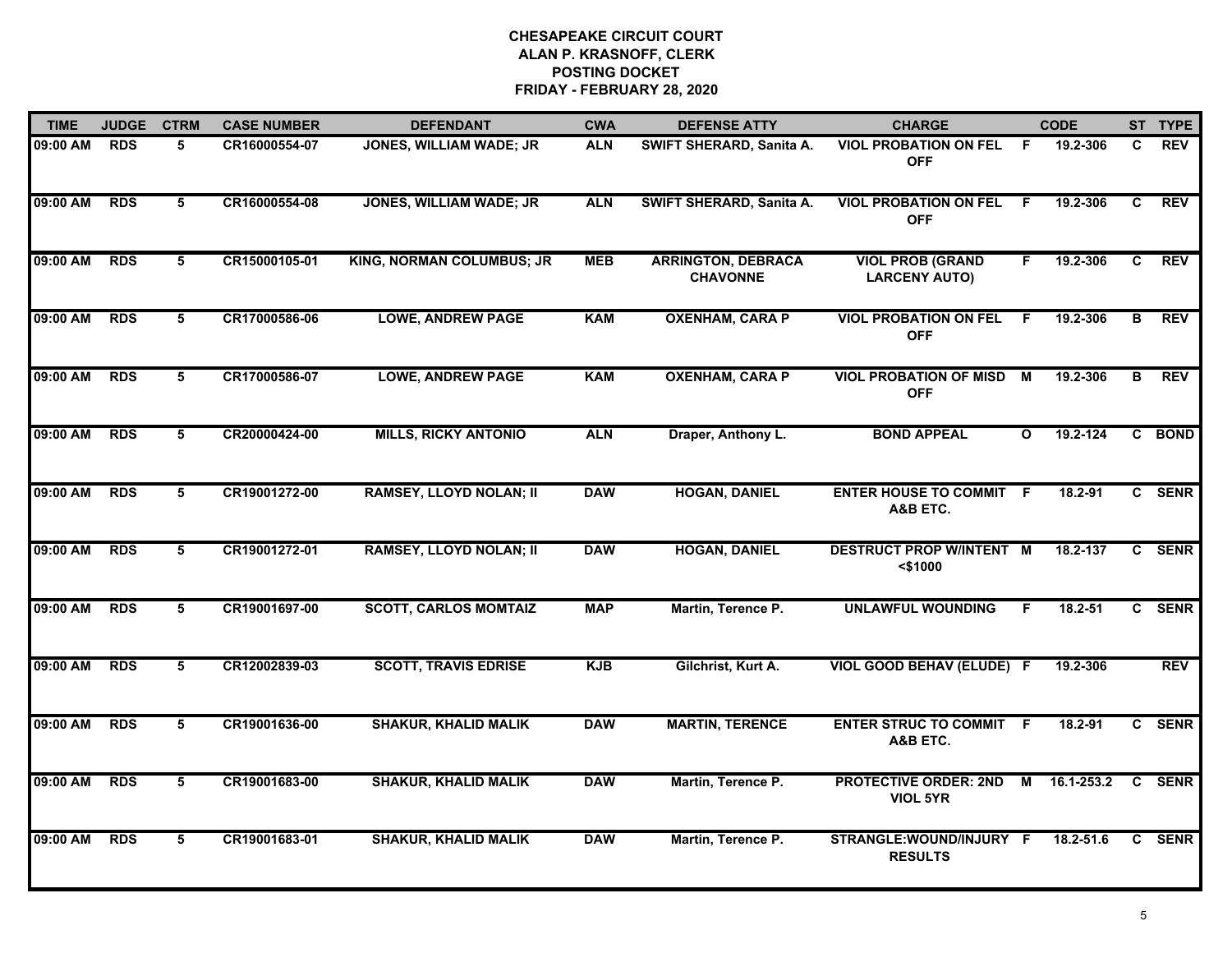| <b>TIME</b> | <b>JUDGE</b> | <b>CTRM</b>     | <b>CASE NUMBER</b> | <b>DEFENDANT</b>               | <b>CWA</b> | <b>DEFENSE ATTY</b>                          | <b>CHARGE</b>                                   |              | <b>CODE</b>  |    | ST TYPE    |
|-------------|--------------|-----------------|--------------------|--------------------------------|------------|----------------------------------------------|-------------------------------------------------|--------------|--------------|----|------------|
| 09:00 AM    | <b>RDS</b>   | 5               | CR16000554-07      | JONES, WILLIAM WADE; JR        | <b>ALN</b> | SWIFT SHERARD, Sanita A.                     | <b>VIOL PROBATION ON FEL</b><br><b>OFF</b>      | -F           | 19.2-306     | C. | <b>REV</b> |
| 09:00 AM    | <b>RDS</b>   | $5\overline{)}$ | CR16000554-08      | JONES, WILLIAM WADE; JR        | <b>ALN</b> | SWIFT SHERARD, Sanita A.                     | <b>VIOL PROBATION ON FEL</b><br><b>OFF</b>      | -F           | 19.2-306     | C  | <b>REV</b> |
| 09:00 AM    | <b>RDS</b>   | 5               | CR15000105-01      | KING, NORMAN COLUMBUS; JR      | <b>MEB</b> | <b>ARRINGTON, DEBRACA</b><br><b>CHAVONNE</b> | <b>VIOL PROB (GRAND</b><br><b>LARCENY AUTO)</b> | F            | 19.2-306     | C  | <b>REV</b> |
| 09:00 AM    | <b>RDS</b>   | 5               | CR17000586-06      | <b>LOWE, ANDREW PAGE</b>       | <b>KAM</b> | <b>OXENHAM, CARA P</b>                       | <b>VIOL PROBATION ON FEL</b><br><b>OFF</b>      | F.           | 19.2-306     | В  | <b>REV</b> |
| 09:00 AM    | <b>RDS</b>   | 5               | CR17000586-07      | <b>LOWE, ANDREW PAGE</b>       | <b>KAM</b> | <b>OXENHAM, CARA P</b>                       | <b>VIOL PROBATION OF MISD</b><br><b>OFF</b>     | M            | 19.2-306     | в  | <b>REV</b> |
| 09:00 AM    | <b>RDS</b>   | 5               | CR20000424-00      | <b>MILLS, RICKY ANTONIO</b>    | <b>ALN</b> | Draper, Anthony L.                           | <b>BOND APPEAL</b>                              | $\mathbf{o}$ | 19.2-124     |    | C BOND     |
| 09:00 AM    | <b>RDS</b>   | $5\overline{5}$ | CR19001272-00      | <b>RAMSEY, LLOYD NOLAN; II</b> | <b>DAW</b> | <b>HOGAN, DANIEL</b>                         | <b>ENTER HOUSE TO COMMIT F</b><br>A&B ETC.      |              | 18.2-91      |    | C SENR     |
| 09:00 AM    | <b>RDS</b>   | $5\overline{)}$ | CR19001272-01      | <b>RAMSEY, LLOYD NOLAN; II</b> | <b>DAW</b> | <b>HOGAN, DANIEL</b>                         | <b>DESTRUCT PROP W/INTENT M</b><br>$<$ \$1000   |              | $18.2 - 137$ |    | C SENR     |
| 09:00 AM    | <b>RDS</b>   | 5               | CR19001697-00      | <b>SCOTT, CARLOS MOMTAIZ</b>   | <b>MAP</b> | Martin, Terence P.                           | <b>UNLAWFUL WOUNDING</b>                        | F.           | $18.2 - 51$  |    | C SENR     |
| 09:00 AM    | <b>RDS</b>   | 5               | CR12002839-03      | <b>SCOTT, TRAVIS EDRISE</b>    | <b>KJB</b> | Gilchrist, Kurt A.                           | <b>VIOL GOOD BEHAV (ELUDE) F</b>                |              | 19.2-306     |    | <b>REV</b> |
| 09:00 AM    | <b>RDS</b>   | 5               | CR19001636-00      | <b>SHAKUR, KHALID MALIK</b>    | <b>DAW</b> | <b>MARTIN, TERENCE</b>                       | <b>ENTER STRUC TO COMMIT F</b><br>A&B ETC.      |              | 18.2-91      |    | C SENR     |
| 09:00 AM    | <b>RDS</b>   | 5               | CR19001683-00      | <b>SHAKUR, KHALID MALIK</b>    | <b>DAW</b> | Martin, Terence P.                           | <b>PROTECTIVE ORDER: 2ND</b><br><b>VIOL 5YR</b> | M            | 16.1-253.2   |    | C SENR     |
| 09:00 AM    | <b>RDS</b>   | 5               | CR19001683-01      | <b>SHAKUR, KHALID MALIK</b>    | <b>DAW</b> | Martin, Terence P.                           | STRANGLE: WOUND/INJURY F<br><b>RESULTS</b>      |              | 18.2-51.6    |    | C SENR     |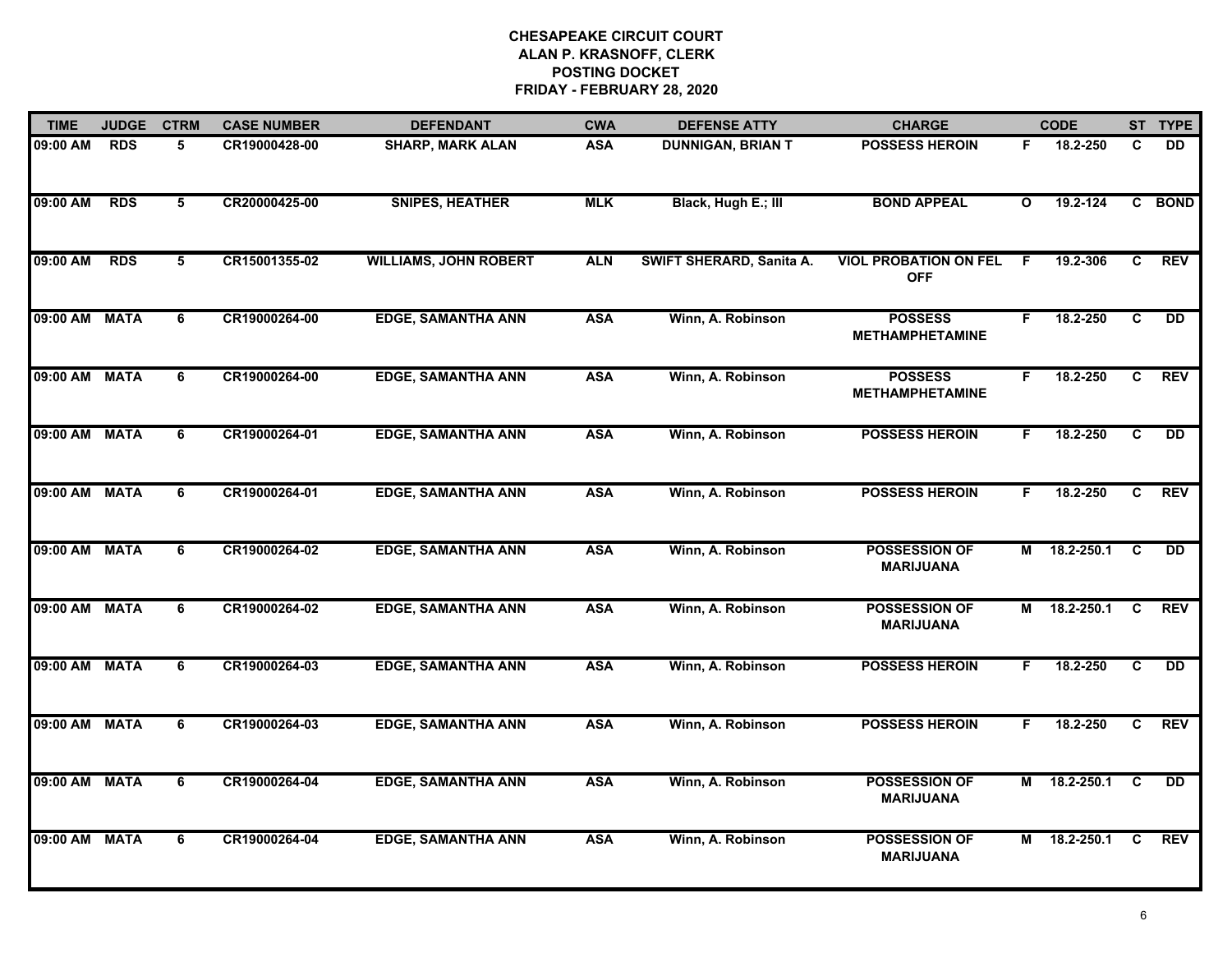| <b>TIME</b>   | <b>JUDGE</b> | <b>CTRM</b>    | <b>CASE NUMBER</b> | <b>DEFENDANT</b>             | <b>CWA</b> | <b>DEFENSE ATTY</b>      | <b>CHARGE</b>                              |              | <b>CODE</b> |                | ST TYPE         |
|---------------|--------------|----------------|--------------------|------------------------------|------------|--------------------------|--------------------------------------------|--------------|-------------|----------------|-----------------|
| 09:00 AM      | <b>RDS</b>   | 5              | CR19000428-00      | <b>SHARP, MARK ALAN</b>      | <b>ASA</b> | <b>DUNNIGAN, BRIAN T</b> | <b>POSSESS HEROIN</b>                      | F.           | 18.2-250    | C              | <b>DD</b>       |
| 09:00 AM      | <b>RDS</b>   | 5              | CR20000425-00      | <b>SNIPES, HEATHER</b>       | <b>MLK</b> | Black, Hugh E.; III      | <b>BOND APPEAL</b>                         | $\mathbf{o}$ | 19.2-124    |                | C BOND          |
| 09:00 AM      | <b>RDS</b>   | $\overline{5}$ | CR15001355-02      | <b>WILLIAMS, JOHN ROBERT</b> | <b>ALN</b> | SWIFT SHERARD, Sanita A. | <b>VIOL PROBATION ON FEL</b><br><b>OFF</b> | E            | 19.2-306    | $\overline{c}$ | <b>REV</b>      |
| 09:00 AM      | <b>MATA</b>  | 6              | CR19000264-00      | <b>EDGE, SAMANTHA ANN</b>    | <b>ASA</b> | Winn, A. Robinson        | <b>POSSESS</b><br><b>METHAMPHETAMINE</b>   | F.           | 18.2-250    | $\mathbf{C}$   | <b>DD</b>       |
| 09:00 AM MATA |              | 6              | CR19000264-00      | <b>EDGE, SAMANTHA ANN</b>    | <b>ASA</b> | Winn, A. Robinson        | <b>POSSESS</b><br><b>METHAMPHETAMINE</b>   | F.           | 18.2-250    | C              | <b>REV</b>      |
| 09:00 AM      | <b>MATA</b>  | 6              | CR19000264-01      | <b>EDGE, SAMANTHA ANN</b>    | <b>ASA</b> | Winn, A. Robinson        | <b>POSSESS HEROIN</b>                      | F.           | 18.2-250    | C              | <b>DD</b>       |
| 09:00 AM      | <b>MATA</b>  | $\overline{6}$ | CR19000264-01      | <b>EDGE, SAMANTHA ANN</b>    | <b>ASA</b> | Winn, A. Robinson        | <b>POSSESS HEROIN</b>                      | F.           | 18.2-250    | C              | <b>REV</b>      |
| 09:00 AM      | <b>MATA</b>  | 6              | CR19000264-02      | <b>EDGE, SAMANTHA ANN</b>    | <b>ASA</b> | Winn, A. Robinson        | <b>POSSESSION OF</b><br><b>MARIJUANA</b>   | М            | 18.2-250.1  | C              | $\overline{DD}$ |
| 09:00 AM      | <b>MATA</b>  | 6              | CR19000264-02      | <b>EDGE, SAMANTHA ANN</b>    | <b>ASA</b> | Winn, A. Robinson        | POSSESSION OF<br><b>MARIJUANA</b>          | М            | 18.2-250.1  | C              | <b>REV</b>      |
| 09:00 AM      | <b>MATA</b>  | 6              | CR19000264-03      | <b>EDGE, SAMANTHA ANN</b>    | <b>ASA</b> | Winn, A. Robinson        | <b>POSSESS HEROIN</b>                      | F.           | 18.2-250    | C              | <b>DD</b>       |
| 09:00 AM MATA |              | 6              | CR19000264-03      | <b>EDGE, SAMANTHA ANN</b>    | <b>ASA</b> | Winn, A. Robinson        | <b>POSSESS HEROIN</b>                      | F.           | 18.2-250    | C.             | <b>REV</b>      |
| 09:00 AM      | <b>MATA</b>  | 6              | CR19000264-04      | <b>EDGE, SAMANTHA ANN</b>    | <b>ASA</b> | Winn, A. Robinson        | <b>POSSESSION OF</b><br><b>MARIJUANA</b>   | М            | 18.2-250.1  | C              | $\overline{DD}$ |
| 09:00 AM      | <b>MATA</b>  | 6              | CR19000264-04      | <b>EDGE, SAMANTHA ANN</b>    | <b>ASA</b> | Winn, A. Robinson        | <b>POSSESSION OF</b><br><b>MARIJUANA</b>   | м            | 18.2-250.1  | C              | <b>REV</b>      |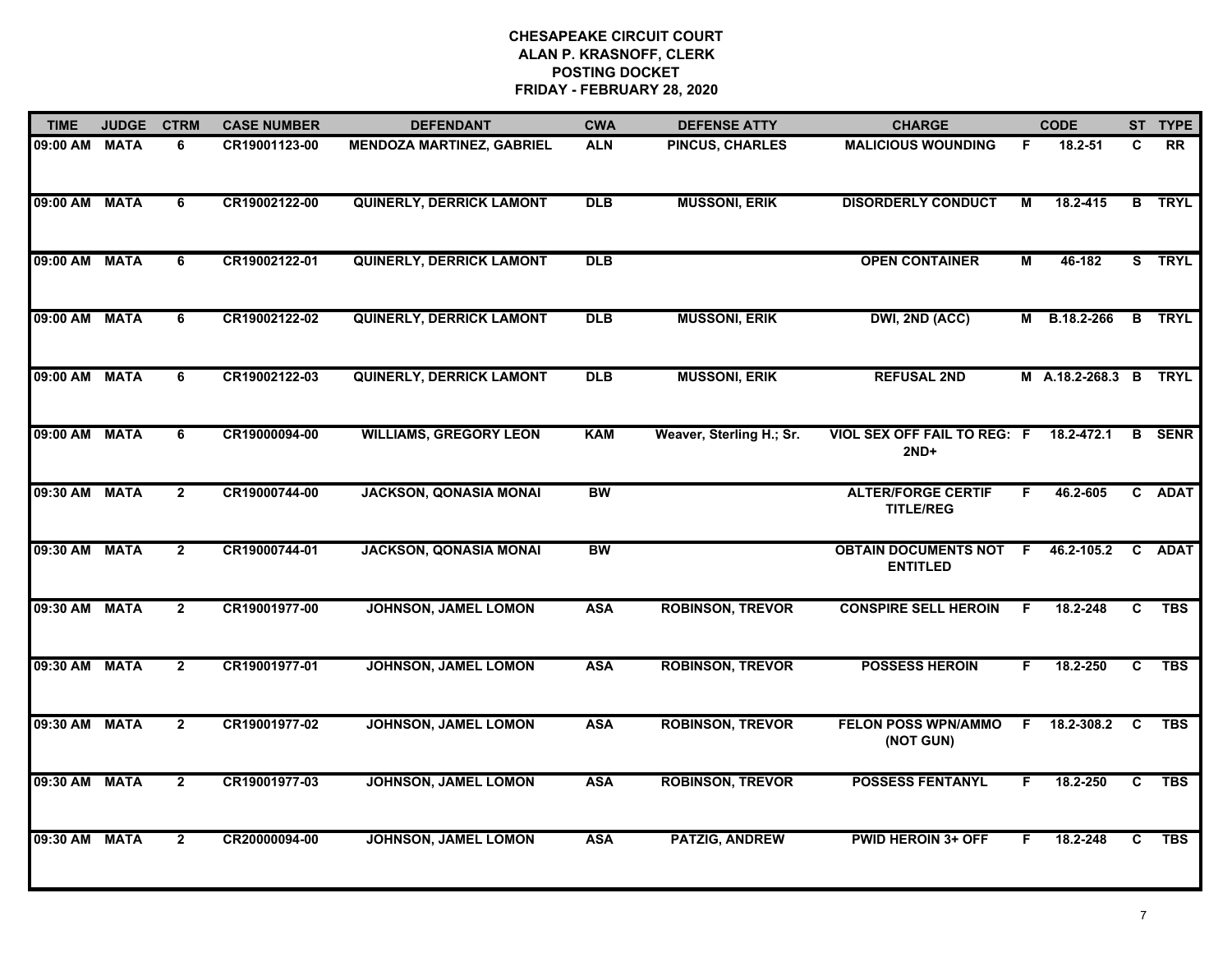| <b>TIME</b>   | <b>JUDGE</b> | <b>CTRM</b>    | <b>CASE NUMBER</b> | <b>DEFENDANT</b>                 | <b>CWA</b> | <b>DEFENSE ATTY</b>      | <b>CHARGE</b>                                  |                | <b>CODE</b>           |              | ST TYPE       |
|---------------|--------------|----------------|--------------------|----------------------------------|------------|--------------------------|------------------------------------------------|----------------|-----------------------|--------------|---------------|
| 09:00 AM MATA |              | 6              | CR19001123-00      | <b>MENDOZA MARTINEZ, GABRIEL</b> | <b>ALN</b> | <b>PINCUS, CHARLES</b>   | <b>MALICIOUS WOUNDING</b>                      | F.             | 18.2-51               | C            | RR            |
| 09:00 AM MATA |              | 6              | CR19002122-00      | <b>QUINERLY, DERRICK LAMONT</b>  | <b>DLB</b> | <b>MUSSONI, ERIK</b>     | <b>DISORDERLY CONDUCT</b>                      | м              | 18.2-415              |              | <b>B</b> TRYL |
| 09:00 AM      | <b>MATA</b>  | $\overline{6}$ | CR19002122-01      | <b>QUINERLY, DERRICK LAMONT</b>  | <b>DLB</b> |                          | <b>OPEN CONTAINER</b>                          | $\overline{M}$ | 46-182                |              | S TRYL        |
| 09:00 AM MATA |              | 6              | CR19002122-02      | <b>QUINERLY, DERRICK LAMONT</b>  | <b>DLB</b> | <b>MUSSONI, ERIK</b>     | DWI, 2ND (ACC)                                 | M              | B.18.2-266            |              | <b>B</b> TRYL |
| 09:00 AM MATA |              | 6              | CR19002122-03      | <b>QUINERLY, DERRICK LAMONT</b>  | <b>DLB</b> | <b>MUSSONI, ERIK</b>     | <b>REFUSAL 2ND</b>                             |                | M A.18.2-268.3 B TRYL |              |               |
| 09:00 AM MATA |              | 6              | CR19000094-00      | <b>WILLIAMS, GREGORY LEON</b>    | <b>KAM</b> | Weaver, Sterling H.; Sr. | <b>VIOL SEX OFF FAIL TO REG: F</b><br>$2ND+$   |                | 18.2-472.1            | B            | <b>SENR</b>   |
| 09:30 AM MATA |              | $\overline{2}$ | CR19000744-00      | <b>JACKSON, QONASIA MONAI</b>    | <b>BW</b>  |                          | <b>ALTER/FORGE CERTIF</b><br><b>TITLE/REG</b>  | F.             | 46.2-605              | $\mathbf{c}$ | <b>ADAT</b>   |
| 09:30 AM MATA |              | $\overline{2}$ | CR19000744-01      | <b>JACKSON, QONASIA MONAI</b>    | <b>BW</b>  |                          | <b>OBTAIN DOCUMENTS NOT</b><br><b>ENTITLED</b> | E              | 46.2-105.2            | $\mathbf{c}$ | <b>ADAT</b>   |
| 09:30 AM MATA |              | $\overline{2}$ | CR19001977-00      | JOHNSON, JAMEL LOMON             | <b>ASA</b> | <b>ROBINSON, TREVOR</b>  | <b>CONSPIRE SELL HEROIN</b>                    | F.             | 18.2-248              | C            | <b>TBS</b>    |
| 09:30 AM MATA |              | $\overline{2}$ | CR19001977-01      | JOHNSON, JAMEL LOMON             | <b>ASA</b> | <b>ROBINSON, TREVOR</b>  | <b>POSSESS HEROIN</b>                          | F.             | 18.2-250              | C            | <b>TBS</b>    |
| 09:30 AM MATA |              | $\mathbf{2}$   | CR19001977-02      | JOHNSON, JAMEL LOMON             | <b>ASA</b> | <b>ROBINSON, TREVOR</b>  | <b>FELON POSS WPN/AMMO</b><br>(NOT GUN)        | F.             | 18.2-308.2            | <b>C</b>     | <b>TBS</b>    |
| 09:30 AM      | <b>MATA</b>  | $\overline{2}$ | CR19001977-03      | JOHNSON, JAMEL LOMON             | <b>ASA</b> | <b>ROBINSON, TREVOR</b>  | <b>POSSESS FENTANYL</b>                        | F.             | 18.2-250              | C.           | <b>TBS</b>    |
| 09:30 AM MATA |              | $\overline{2}$ | CR20000094-00      | JOHNSON, JAMEL LOMON             | <b>ASA</b> | <b>PATZIG, ANDREW</b>    | <b>PWID HEROIN 3+ OFF</b>                      | F              | 18.2-248              | C.           | <b>TBS</b>    |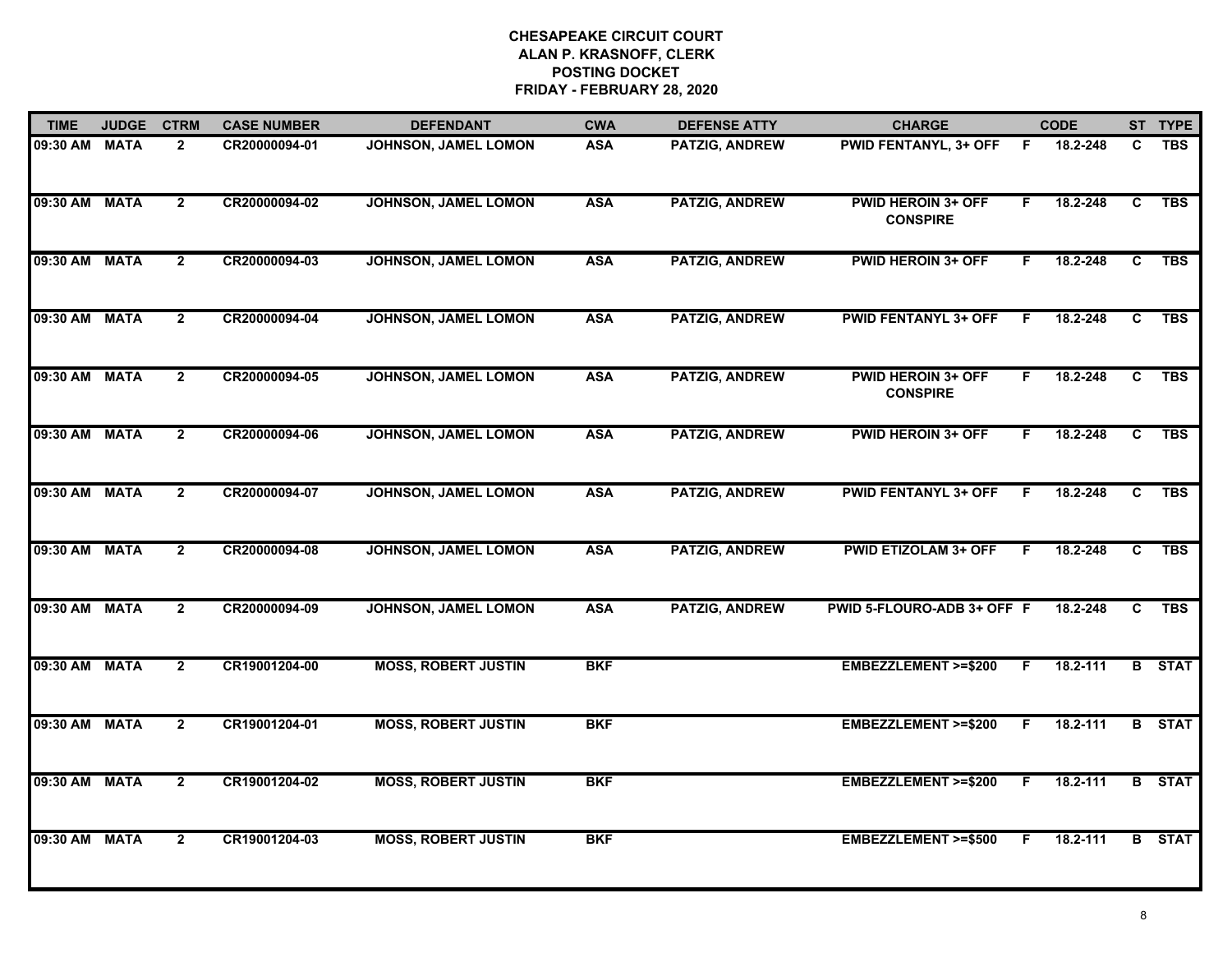| <b>TIME</b>   | <b>JUDGE</b> | <b>CTRM</b>    | <b>CASE NUMBER</b> | <b>DEFENDANT</b>            | <b>CWA</b> | <b>DEFENSE ATTY</b>   | <b>CHARGE</b>                                |    | <b>CODE</b> |                | ST TYPE       |
|---------------|--------------|----------------|--------------------|-----------------------------|------------|-----------------------|----------------------------------------------|----|-------------|----------------|---------------|
| 09:30 AM MATA |              | $\overline{2}$ | CR20000094-01      | <b>JOHNSON, JAMEL LOMON</b> | <b>ASA</b> | PATZIG, ANDREW        | <b>PWID FENTANYL, 3+ OFF</b>                 | F  | 18.2-248    | C              | <b>TBS</b>    |
| 09:30 AM MATA |              | $\overline{2}$ | CR20000094-02      | JOHNSON, JAMEL LOMON        | <b>ASA</b> | <b>PATZIG, ANDREW</b> | <b>PWID HEROIN 3+ OFF</b><br><b>CONSPIRE</b> | F. | 18.2-248    | C              | <b>TBS</b>    |
| 09:30 AM MATA |              | $\overline{2}$ | CR20000094-03      | JOHNSON, JAMEL LOMON        | <b>ASA</b> | <b>PATZIG, ANDREW</b> | <b>PWID HEROIN 3+ OFF</b>                    | F. | 18.2-248    | $\overline{c}$ | <b>TBS</b>    |
| 09:30 AM MATA |              | $\mathbf{2}$   | CR20000094-04      | JOHNSON, JAMEL LOMON        | <b>ASA</b> | <b>PATZIG, ANDREW</b> | <b>PWID FENTANYL 3+ OFF</b>                  | F  | 18.2-248    | C.             | <b>TBS</b>    |
| 09:30 AM MATA |              | $\overline{2}$ | CR20000094-05      | JOHNSON, JAMEL LOMON        | <b>ASA</b> | <b>PATZIG, ANDREW</b> | <b>PWID HEROIN 3+ OFF</b><br><b>CONSPIRE</b> | F. | 18.2-248    | C              | <b>TBS</b>    |
| 09:30 AM MATA |              | $\overline{2}$ | CR20000094-06      | JOHNSON, JAMEL LOMON        | <b>ASA</b> | <b>PATZIG, ANDREW</b> | <b>PWID HEROIN 3+ OFF</b>                    | F. | 18.2-248    | C              | <b>TBS</b>    |
| 09:30 AM MATA |              | $\overline{2}$ | CR20000094-07      | JOHNSON, JAMEL LOMON        | <b>ASA</b> | <b>PATZIG, ANDREW</b> | <b>PWID FENTANYL 3+ OFF</b>                  | E  | 18.2-248    | C              | <b>TBS</b>    |
| 09:30 AM MATA |              | $\overline{2}$ | CR20000094-08      | JOHNSON, JAMEL LOMON        | <b>ASA</b> | <b>PATZIG, ANDREW</b> | <b>PWID ETIZOLAM 3+ OFF</b>                  |    | 18.2-248    | C              | <b>TBS</b>    |
| 09:30 AM MATA |              | $\overline{2}$ | CR20000094-09      | JOHNSON, JAMEL LOMON        | <b>ASA</b> | <b>PATZIG, ANDREW</b> | PWID 5-FLOURO-ADB 3+ OFF F                   |    | 18.2-248    | C              | <b>TBS</b>    |
| 09:30 AM MATA |              | $\overline{2}$ | CR19001204-00      | <b>MOSS, ROBERT JUSTIN</b>  | <b>BKF</b> |                       | EMBEZZLEMENT >=\$200                         | F. | 18.2-111    |                | <b>B</b> STAT |
| 09:30 AM MATA |              | $\mathbf{2}$   | CR19001204-01      | <b>MOSS, ROBERT JUSTIN</b>  | <b>BKF</b> |                       | EMBEZZLEMENT >=\$200                         | F. | 18.2-111    |                | <b>B</b> STAT |
| 09:30 AM MATA |              | $\overline{2}$ | CR19001204-02      | <b>MOSS, ROBERT JUSTIN</b>  | <b>BKF</b> |                       | EMBEZZLEMENT >=\$200                         | F. | 18.2-111    |                | <b>B</b> STAT |
| 09:30 AM MATA |              | $\overline{2}$ | CR19001204-03      | <b>MOSS, ROBERT JUSTIN</b>  | <b>BKF</b> |                       | <b>EMBEZZLEMENT &gt;=\$500</b>               | F. | 18.2-111    |                | <b>B</b> STAT |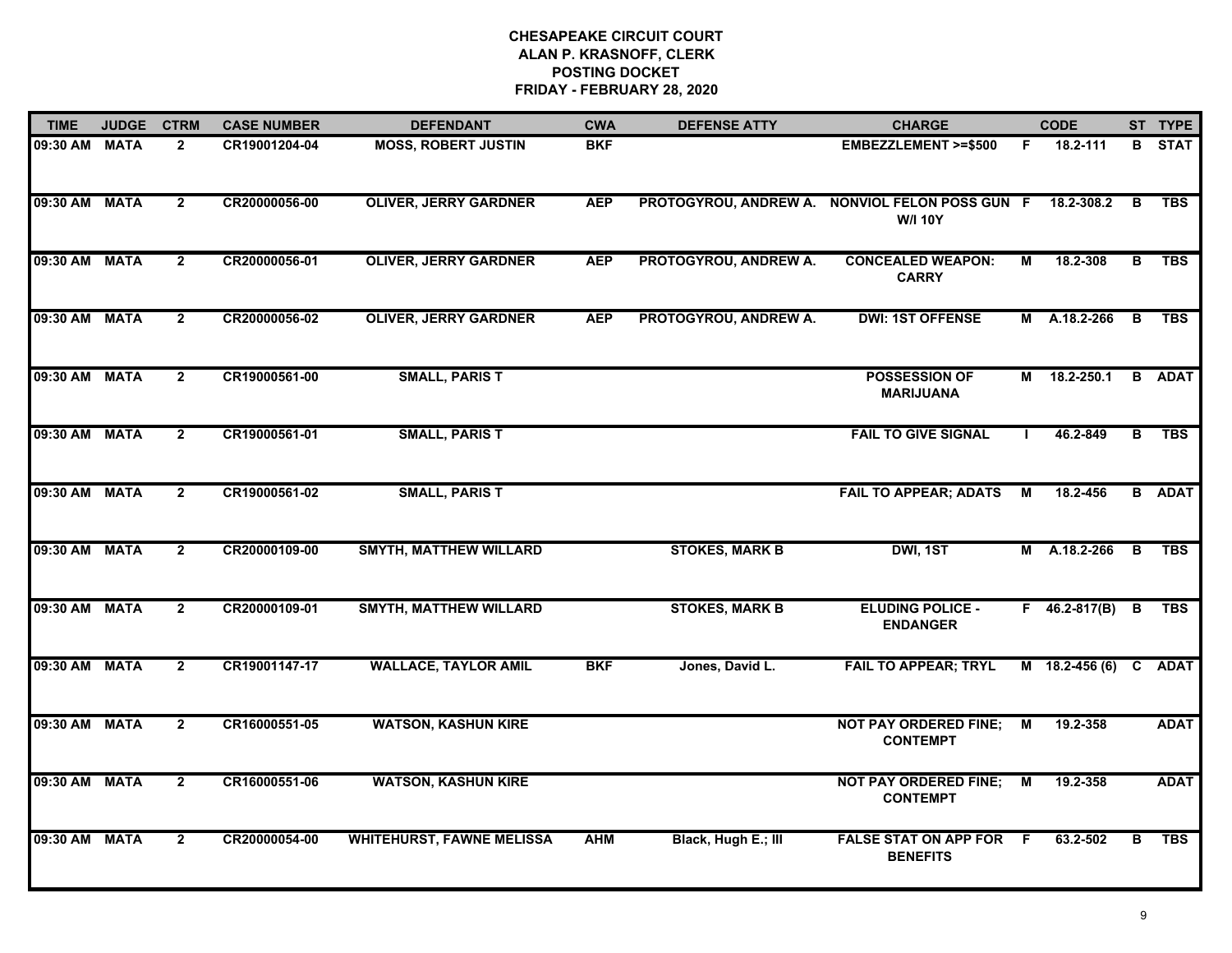| <b>TIME</b>   | <b>JUDGE</b> | <b>CTRM</b>    | <b>CASE NUMBER</b> | <b>DEFENDANT</b>                 | <b>CWA</b> | <b>DEFENSE ATTY</b>   | <b>CHARGE</b>                                                    |    | <b>CODE</b>         |                | ST TYPE       |
|---------------|--------------|----------------|--------------------|----------------------------------|------------|-----------------------|------------------------------------------------------------------|----|---------------------|----------------|---------------|
| 09:30 AM MATA |              | $\mathbf{2}$   | CR19001204-04      | <b>MOSS, ROBERT JUSTIN</b>       | <b>BKF</b> |                       | <b>EMBEZZLEMENT &gt;=\$500</b>                                   | F. | 18.2-111            |                | <b>B</b> STAT |
| 09:30 AM MATA |              | $\overline{2}$ | CR20000056-00      | <b>OLIVER, JERRY GARDNER</b>     | <b>AEP</b> |                       | PROTOGYROU, ANDREW A. NONVIOL FELON POSS GUN F<br><b>W/I 10Y</b> |    | 18.2-308.2          | B              | <b>TBS</b>    |
| 09:30 AM MATA |              | $\overline{2}$ | CR20000056-01      | <b>OLIVER, JERRY GARDNER</b>     | <b>AEP</b> | PROTOGYROU, ANDREW A. | <b>CONCEALED WEAPON:</b><br><b>CARRY</b>                         | М  | 18.2-308            | В              | <b>TBS</b>    |
| 09:30 AM MATA |              | $\overline{2}$ | CR20000056-02      | <b>OLIVER, JERRY GARDNER</b>     | <b>AEP</b> | PROTOGYROU, ANDREW A. | <b>DWI: 1ST OFFENSE</b>                                          |    | M A.18.2-266        | $\overline{B}$ | <b>TBS</b>    |
| 09:30 AM MATA |              | $\overline{2}$ | CR19000561-00      | <b>SMALL, PARIS T</b>            |            |                       | <b>POSSESSION OF</b><br><b>MARIJUANA</b>                         | М  | 18.2-250.1          |                | <b>B</b> ADAT |
| 09:30 AM MATA |              | $\overline{2}$ | CR19000561-01      | <b>SMALL, PARIS T</b>            |            |                       | <b>FAIL TO GIVE SIGNAL</b>                                       |    | 46.2-849            | B              | <b>TBS</b>    |
| 09:30 AM MATA |              | $\mathbf{2}$   | CR19000561-02      | <b>SMALL, PARIS T</b>            |            |                       | <b>FAIL TO APPEAR; ADATS</b>                                     | M  | 18.2-456            |                | <b>B</b> ADAT |
| 09:30 AM MATA |              | $\mathbf{2}$   | CR20000109-00      | <b>SMYTH, MATTHEW WILLARD</b>    |            | <b>STOKES, MARK B</b> | DWI, 1ST                                                         |    | M A.18.2-266        | B              | <b>TBS</b>    |
| 09:30 AM MATA |              | $\overline{2}$ | CR20000109-01      | <b>SMYTH, MATTHEW WILLARD</b>    |            | <b>STOKES, MARK B</b> | <b>ELUDING POLICE -</b><br><b>ENDANGER</b>                       |    | $F = 46.2 - 817(B)$ | В              | <b>TBS</b>    |
| 09:30 AM MATA |              | $\overline{2}$ | CR19001147-17      | <b>WALLACE, TAYLOR AMIL</b>      | <b>BKF</b> | Jones, David L.       | <b>FAIL TO APPEAR; TRYL</b>                                      |    | M 18.2-456 (6) C    |                | <b>ADAT</b>   |
| 09:30 AM MATA |              | $\overline{2}$ | CR16000551-05      | <b>WATSON, KASHUN KIRE</b>       |            |                       | <b>NOT PAY ORDERED FINE;</b><br><b>CONTEMPT</b>                  | М  | 19.2-358            |                | <b>ADAT</b>   |
| 09:30 AM      | <b>MATA</b>  | $\overline{2}$ | CR16000551-06      | <b>WATSON, KASHUN KIRE</b>       |            |                       | <b>NOT PAY ORDERED FINE;</b><br><b>CONTEMPT</b>                  | М  | 19.2-358            |                | <b>ADAT</b>   |
| 09:30 AM      | <b>MATA</b>  | $\mathbf{2}$   | CR20000054-00      | <b>WHITEHURST, FAWNE MELISSA</b> | <b>AHM</b> | Black, Hugh E.; III   | <b>FALSE STAT ON APP FOR</b><br><b>BENEFITS</b>                  | -F | 63.2-502            | в              | <b>TBS</b>    |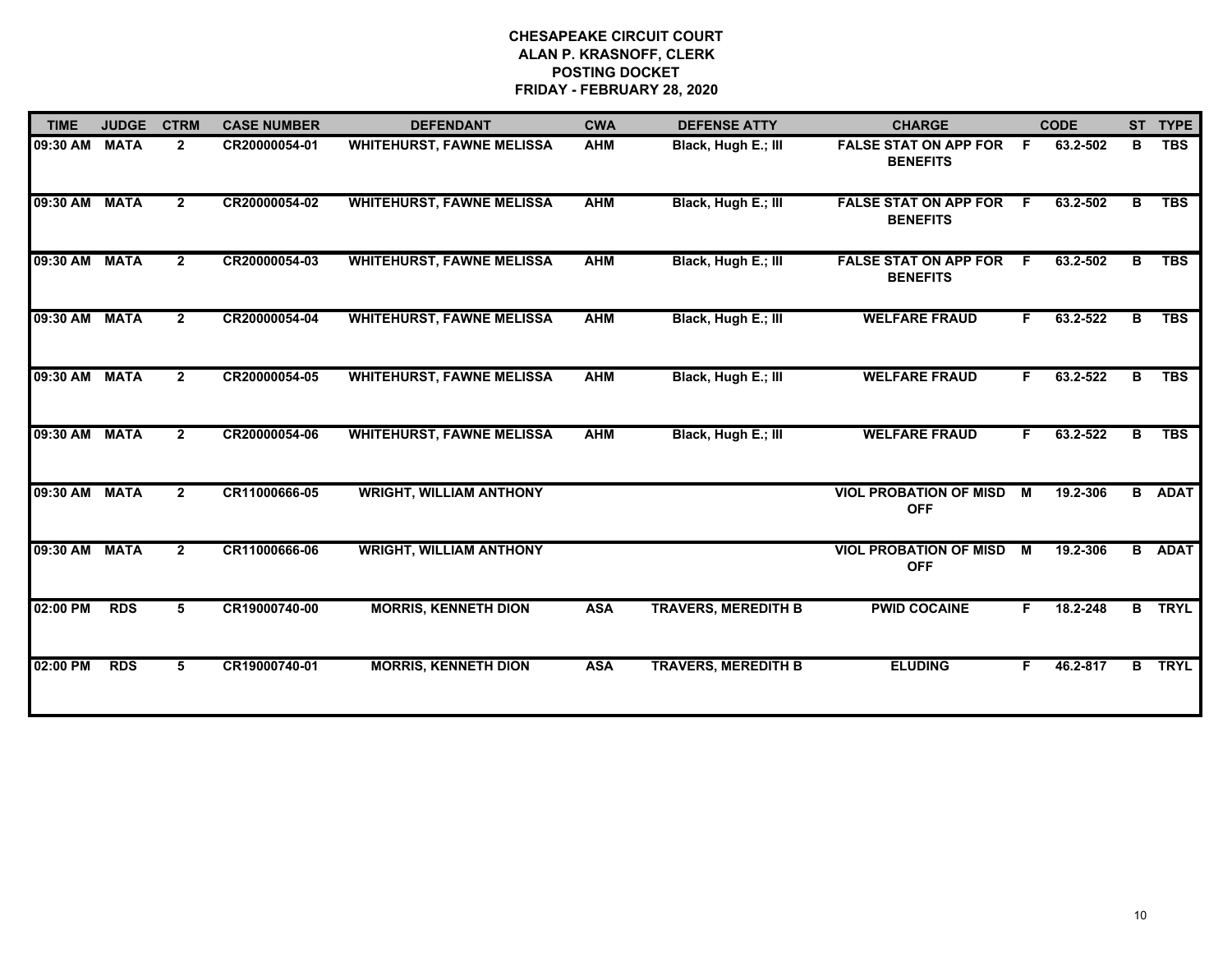| <b>TIME</b>   | <b>JUDGE</b> | <b>CTRM</b>    | <b>CASE NUMBER</b> | <b>DEFENDANT</b>                 | <b>CWA</b> | <b>DEFENSE ATTY</b>        | <b>CHARGE</b>                                   |                | <b>CODE</b> |              | ST TYPE       |
|---------------|--------------|----------------|--------------------|----------------------------------|------------|----------------------------|-------------------------------------------------|----------------|-------------|--------------|---------------|
| 09:30 AM      | <b>MATA</b>  | $\mathbf{2}$   | CR20000054-01      | <b>WHITEHURST, FAWNE MELISSA</b> | AHM        | Black, Hugh E.; III        | <b>FALSE STAT ON APP FOR</b><br><b>BENEFITS</b> | F.             | 63.2-502    | В            | <b>TBS</b>    |
| 09:30 AM      | <b>MATA</b>  | $\overline{2}$ | CR20000054-02      | <b>WHITEHURST, FAWNE MELISSA</b> | <b>AHM</b> | Black, Hugh E.; III        | <b>FALSE STAT ON APP FOR</b><br><b>BENEFITS</b> | F.             | 63.2-502    | в            | <b>TBS</b>    |
| 09:30 AM      | <b>MATA</b>  | $\mathbf{2}$   | CR20000054-03      | <b>WHITEHURST, FAWNE MELISSA</b> | <b>AHM</b> | Black, Hugh E.; III        | <b>FALSE STAT ON APP FOR</b><br><b>BENEFITS</b> | E              | 63.2-502    | в            | <b>TBS</b>    |
| 09:30 AM      | <b>MATA</b>  | $\overline{2}$ | CR20000054-04      | <b>WHITEHURST, FAWNE MELISSA</b> | <b>AHM</b> | Black, Hugh E.; III        | <b>WELFARE FRAUD</b>                            | F.             | 63.2-522    | В            | <b>TBS</b>    |
| 09:30 AM MATA |              | $\overline{2}$ | CR20000054-05      | <b>WHITEHURST, FAWNE MELISSA</b> | <b>AHM</b> | Black, Hugh E.; III        | <b>WELFARE FRAUD</b>                            | F.             | 63.2-522    | B            | <b>TBS</b>    |
| 09:30 AM      | <b>MATA</b>  | $\overline{2}$ | CR20000054-06      | <b>WHITEHURST, FAWNE MELISSA</b> | <b>AHM</b> | Black, Hugh E.; III        | <b>WELFARE FRAUD</b>                            | F.             | 63.2-522    | в            | <b>TBS</b>    |
| 09:30 AM MATA |              | $\mathbf{2}$   | CR11000666-05      | <b>WRIGHT, WILLIAM ANTHONY</b>   |            |                            | <b>VIOL PROBATION OF MISD</b><br><b>OFF</b>     | M              | 19.2-306    |              | <b>B</b> ADAT |
| 09:30 AM      | <b>MATA</b>  | $\overline{2}$ | CR11000666-06      | <b>WRIGHT, WILLIAM ANTHONY</b>   |            |                            | <b>VIOL PROBATION OF MISD</b><br><b>OFF</b>     | $\blacksquare$ | 19.2-306    |              | <b>B</b> ADAT |
| 02:00 PM      | <b>RDS</b>   | 5.             | CR19000740-00      | <b>MORRIS, KENNETH DION</b>      | <b>ASA</b> | <b>TRAVERS, MEREDITH B</b> | <b>PWID COCAINE</b>                             | F.             | 18.2-248    |              | <b>B</b> TRYL |
| 02:00 PM      | <b>RDS</b>   | 5              | CR19000740-01      | <b>MORRIS, KENNETH DION</b>      | <b>ASA</b> | <b>TRAVERS, MEREDITH B</b> | <b>ELUDING</b>                                  | F              | 46.2-817    | $\mathbf{B}$ | <b>TRYL</b>   |